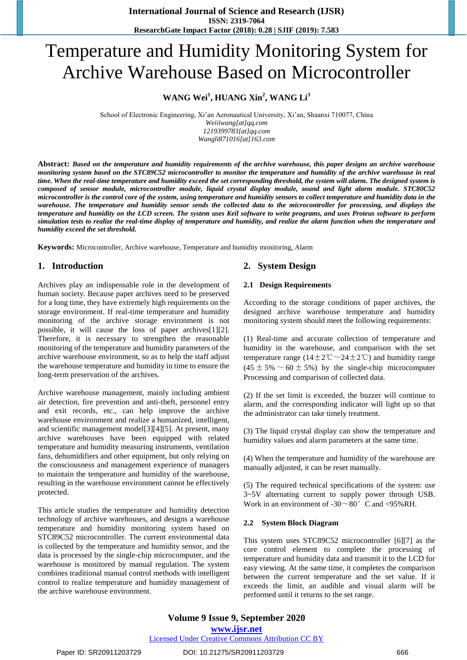# Temperature and Humidity Monitoring System for Archive Warehouse Based on Microcontroller

#### **WANG Wei<sup>1</sup> , HUANG Xin<sup>2</sup> , WANG Li<sup>3</sup>**

School of Electronic Engineering, Xi'an Aeronautical University, Xi'an, Shaanxi 710077, China *Weiiiwang[at]qq.com*

*1219399783[at]qq.com Wangli871016[at]163.com*

**Abstract:** *Based on the temperature and humidity requirements of the archive warehouse, this paper designs an archive warehouse monitoring system based on the STC89C52 microcontroller to monitor the temperature and humidity of the archive warehouse in real time. When the real-time temperature and humidity exceed the set corresponding threshold, the system will alarm. The designed system is composed of sensor module, microcontroller module, liquid crystal display module, sound and light alarm module. STC80C52 microcontroller is the control core of the system, using temperature and humidity sensors to collect temperature and humidity data in the warehouse. The temperature and humidity sensor sends the collected data to the microcontroller for processing, and displays the temperature and humidity on the LCD screen. The system uses Keil software to write programs, and uses Proteus software to perform simulation tests to realize the real-time display of temperature and humidity, and realize the alarm function when the temperature and humidity exceed the set threshold.*

**Keywords:** Microcontroller, Archive warehouse, Temperature and humidity monitoring, Alarm

#### **1. Introduction**

Archives play an indispensable role in the development of human society. Because paper archives need to be preserved for a long time, they have extremely high requirements on the storage environment. If real-time temperature and humidity monitoring of the archive storage environment is not possible, it will cause the loss of paper archives[1][2]. Therefore, it is necessary to strengthen the reasonable monitoring of the temperature and humidity parameters of the archive warehouse environment, so as to help the staff adjust the warehouse temperature and humidity in time to ensure the long-term preservation of the archives.

Archive warehouse management, mainly including ambient air detection, fire prevention and anti-theft, personnel entry and exit records, etc., can help improve the archive warehouse environment and realize a humanized, intelligent, and scientific management model[3][4][5]. At present, many archive warehouses have been equipped with related temperature and humidity measuring instruments, ventilation fans, dehumidifiers and other equipment, but only relying on the consciousness and management experience of managers to maintain the temperature and humidity of the warehouse, resulting in the warehouse environment cannot be effectively protected.

This article studies the temperature and humidity detection technology of archive warehouses, and designs a warehouse temperature and humidity monitoring system based on STC89C52 microcontroller. The current environmental data is collected by the temperature and humidity sensor, and the data is processed by the single-chip microcomputer, and the warehouse is monitored by manual regulation. The system combines traditional manual control methods with intelligent control to realize temperature and humidity management of the archive warehouse environment.

#### **2. System Design**

#### **2.1 Design Requirements**

According to the storage conditions of paper archives, the designed archive warehouse temperature and humidity monitoring system should meet the following requirements:

(1) Real-time and accurate collection of temperature and humidity in the warehouse, and comparison with the set temperature range ( $14\pm2$ °C $\sim$ 24 $\pm2$ °C) and humidity range  $(45 \pm 5\% \sim 60 \pm 5\%)$  by the single-chip microcomputer Processing and comparison of collected data.

(2) If the set limit is exceeded, the buzzer will continue to alarm, and the corresponding indicator will light up so that the administrator can take timely treatment.

(3) The liquid crystal display can show the temperature and humidity values and alarm parameters at the same time.

(4) When the temperature and humidity of the warehouse are manually adjusted, it can be reset manually.

(5) The required technical specifications of the system: use 3~5V alternating current to supply power through USB. Work in an environment of  $-30^\circ$  C and  $\lt 95\%$  RH.

#### **2.2 System Block Diagram**

This system uses STC89C52 microcontroller [6][7] as the core control element to complete the processing of temperature and humidity data and transmit it to the LCD for easy viewing. At the same time, it completes the comparison between the current temperature and the set value. If it exceeds the limit, an audible and visual alarm will be performed until it returns to the set range.

**Volume 9 Issue 9, September 2020 www.ijsr.net** Licensed Under Creative Commons Attribution CC BY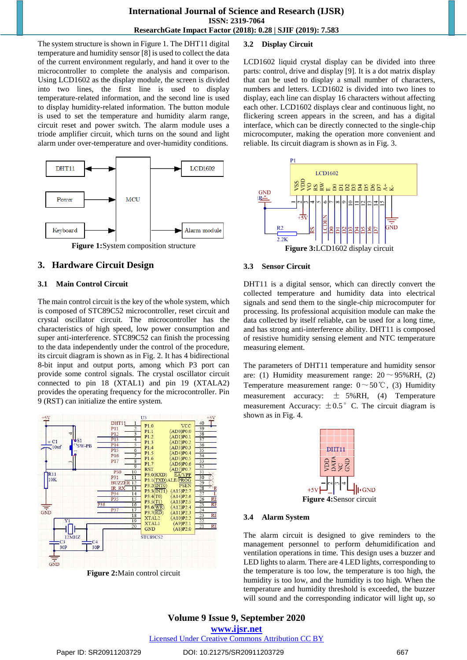The system structure is shown in Figure 1. The DHT11 digital temperature and humidity sensor [8] is used to collect the data of the current environment regularly, and hand it over to the microcontroller to complete the analysis and comparison. Using LCD1602 as the display module, the screen is divided into two lines, the first line is used to display temperature-related information, and the second line is used to display humidity-related information. The button module is used to set the temperature and humidity alarm range, circuit reset and power switch. The alarm module uses a triode amplifier circuit, which turns on the sound and light alarm under over-temperature and over-humidity conditions.



## **3. Hardware Circuit Design**

## **3.1 Main Control Circuit**

The main control circuit is the key of the whole system, which is composed of STC89C52 microcontroller, reset circuit and crystal oscillator circuit. The microcontroller has the characteristics of high speed, low power consumption and super anti-interference. STC89C52 can finish the processing to the data independently under the control of the procedure, its circuit diagram is shown as in Fig. 2. It has 4 bidirectional 8-bit input and output ports, among which P3 port can provide some control signals. The crystal oscillator circuit connected to pin 18 (XTAL1) and pin 19 (XTALA2) provides the operating frequency for the microcontroller. Pin 9 (RST) can initialize the entire system.



**Figure 2:**Main control circuit

#### **3.2 Display Circuit**

LCD1602 liquid crystal display can be divided into three parts: control, drive and display [9]. It is a dot matrix display that can be used to display a small number of characters, numbers and letters. LCD1602 is divided into two lines to display, each line can display 16 characters without affecting each other. LCD1602 displays clear and continuous light, no flickering screen appears in the screen, and has a digital interface, which can be directly connected to the single-chip microcomputer, making the operation more convenient and reliable. Its circuit diagram is shown as in Fig. 3.



#### **3.3 Sensor Circuit**

DHT11 is a digital sensor, which can directly convert the collected temperature and humidity data into electrical signals and send them to the single-chip microcomputer for processing. Its professional acquisition module can make the data collected by itself reliable, can be used for a long time, and has strong anti-interference ability. DHT11 is composed of resistive humidity sensing element and NTC temperature measuring element.

The parameters of DHT11 temperature and humidity sensor are: (1) Humidity measurement range:  $20 \sim 95\% \text{RH}$ , (2) Temperature measurement range:  $0 \sim 50^{\circ}$ C, (3) Humidity measurement accuracy:  $\pm$  5%RH, (4) Temperature measurement Accuracy:  $\pm 0.5$ °C. The circuit diagram is shown as in Fig. 4.



#### **3.4 Alarm System**

The alarm circuit is designed to give reminders to the management personnel to perform dehumidification and ventilation operations in time. This design uses a buzzer and LED lights to alarm. There are 4 LED lights, corresponding to the temperature is too low, the temperature is too high, the humidity is too low, and the humidity is too high. When the temperature and humidity threshold is exceeded, the buzzer will sound and the corresponding indicator will light up, so

#### **Volume 9 Issue 9, September 2020 www.ijsr.net** Licensed Under Creative Commons Attribution CC BY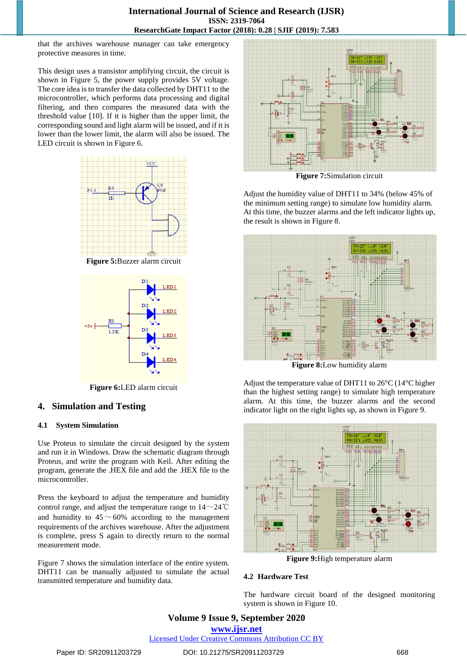that the archives warehouse manager can take emergency protective measures in time.

This design uses a transistor amplifying circuit, the circuit is shown in Figure 5, the power supply provides 5V voltage. The core idea is to transfer the data collected by DHT11 to the microcontroller, which performs data processing and digital filtering, and then compares the measured data with the threshold value [10]. If it is higher than the upper limit, the corresponding sound and light alarm will be issued, and if it is lower than the lower limit, the alarm will also be issued. The LED circuit is shown in Figure 6.





**Figure 6:**LED alarm circuit

#### **4. Simulation and Testing**

#### **4.1 System Simulation**

Use Proteus to simulate the circuit designed by the system and run it in Windows. Draw the schematic diagram through Proteus, and write the program with Keil. After editing the program, generate the .HEX file and add the .HEX file to the microcontroller.

Press the keyboard to adjust the temperature and humidity control range, and adjust the temperature range to  $14 \sim 24$ °C and humidity to  $45 \sim 60\%$  according to the management requirements of the archives warehouse. After the adjustment is complete, press S again to directly return to the normal measurement mode.

Figure 7 shows the simulation interface of the entire system. DHT11 can be manually adjusted to simulate the actual transmitted temperature and humidity data.



**Figure 7:**Simulation circuit

Adjust the humidity value of DHT11 to 34% (below 45% of the minimum setting range) to simulate low humidity alarm. At this time, the buzzer alarms and the left indicator lights up, the result is shown in Figure 8.



**Figure 8:**Low humidity alarm

Adjust the temperature value of DHT11 to 26°C (14°C higher than the highest setting range) to simulate high temperature alarm. At this time, the buzzer alarms and the second indicator light on the right lights up, as shown in Figure 9.



**Figure 9:**High temperature alarm

#### **4.2 Hardware Test**

The hardware circuit board of the designed monitoring system is shown in Figure 10.

**Volume 9 Issue 9, September 2020 www.ijsr.net**

Licensed Under Creative Commons Attribution CC BY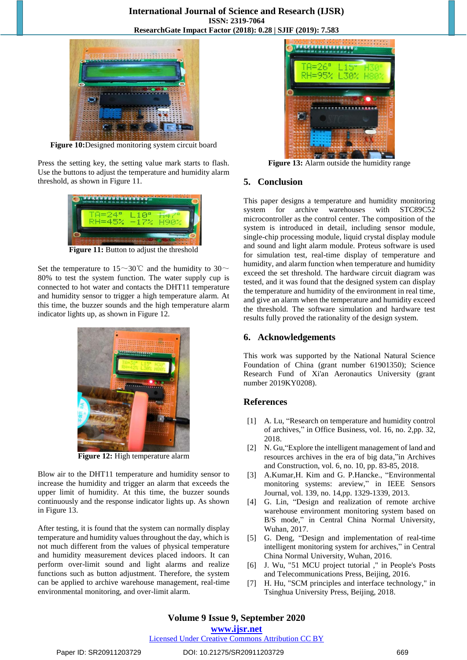

**Figure 10:**Designed monitoring system circuit board

Press the setting key, the setting value mark starts to flash. Use the buttons to adjust the temperature and humidity alarm threshold, as shown in Figure 11.



**Figure 11:** Button to adjust the threshold

Set the temperature to 15~30°C and the humidity to 30~ 80% to test the system function. The water supply cup is connected to hot water and contacts the DHT11 temperature and humidity sensor to trigger a high temperature alarm. At this time, the buzzer sounds and the high temperature alarm indicator lights up, as shown in Figure 12.



**Figure 12:** High temperature alarm

Blow air to the DHT11 temperature and humidity sensor to increase the humidity and trigger an alarm that exceeds the upper limit of humidity. At this time, the buzzer sounds continuously and the response indicator lights up. As shown in Figure 13.

After testing, it is found that the system can normally display temperature and humidity values throughout the day, which is not much different from the values of physical temperature and humidity measurement devices placed indoors. It can perform over-limit sound and light alarms and realize functions such as button adjustment. Therefore, the system can be applied to archive warehouse management, real-time environmental monitoring, and over-limit alarm.



**Figure 13:** Alarm outside the humidity range

#### **5. Conclusion**

This paper designs a temperature and humidity monitoring system for archive warehouses with STC89C52 microcontroller as the control center. The composition of the system is introduced in detail, including sensor module, single-chip processing module, liquid crystal display module and sound and light alarm module. Proteus software is used for simulation test, real-time display of temperature and humidity, and alarm function when temperature and humidity exceed the set threshold. The hardware circuit diagram was tested, and it was found that the designed system can display the temperature and humidity of the environment in real time, and give an alarm when the temperature and humidity exceed the threshold. The software simulation and hardware test results fully proved the rationality of the design system.

#### **6. Acknowledgements**

This work was supported by the National Natural Science Foundation of China (grant number 61901350); Science Research Fund of Xi'an Aeronautics University (grant number 2019KY0208).

#### **References**

- [1] A. Lu, "Research on temperature and humidity control of archives," in Office Business, vol. 16, no. 2,pp. 32, 2018.
- [2] N. Gu,"Explore the intelligent management of land and resources archives in the era of big data,"in Archives and Construction, vol. 6, no. 10, pp. 83-85, 2018.
- [3] A.Kumar,H. Kim and G. P.Hancke., "Environmental monitoring systems: areview," in IEEE Sensors Journal, vol. 139, no. 14,pp. 1329-1339, 2013.
- [4] G. Lin, "Design and realization of remote archive warehouse environment monitoring system based on B/S mode," in Central China Normal University, Wuhan, 2017.
- [5] G. Deng, "Design and implementation of real-time intelligent monitoring system for archives," in Central China Normal University, Wuhan, 2016.
- [6] J. Wu, "51 MCU project tutorial ," in People's Posts and Telecommunications Press, Beijing, 2016.
- [7] H. Hu, "SCM principles and interface technology," in Tsinghua University Press, Beijing, 2018.

### **Volume 9 Issue 9, September 2020**

**www.ijsr.net**

Licensed Under Creative Commons Attribution CC BY